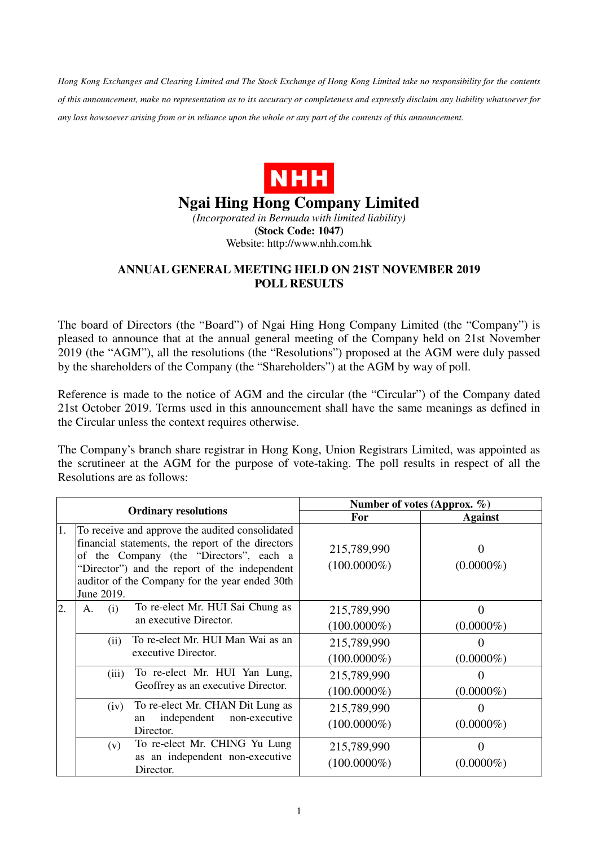*Hong Kong Exchanges and Clearing Limited and The Stock Exchange of Hong Kong Limited take no responsibility for the contents of this announcement, make no representation as to its accuracy or completeness and expressly disclaim any liability whatsoever for any loss howsoever arising from or in reliance upon the whole or any part of the contents of this announcement.* 



## **Ngai Hing Hong Company Limited**

*(Incorporated in Bermuda with limited liability)*  **(Stock Code: 1047)**  Website: http://www.nhh.com.hk

## **ANNUAL GENERAL MEETING HELD ON 21ST NOVEMBER 2019 POLL RESULTS**

The board of Directors (the "Board") of Ngai Hing Hong Company Limited (the "Company") is pleased to announce that at the annual general meeting of the Company held on 21st November 2019 (the "AGM"), all the resolutions (the "Resolutions") proposed at the AGM were duly passed by the shareholders of the Company (the "Shareholders") at the AGM by way of poll.

Reference is made to the notice of AGM and the circular (the "Circular") of the Company dated 21st October 2019. Terms used in this announcement shall have the same meanings as defined in the Circular unless the context requires otherwise.

The Company's branch share registrar in Hong Kong, Union Registrars Limited, was appointed as the scrutineer at the AGM for the purpose of vote-taking. The poll results in respect of all the Resolutions are as follows:

|                             |                                                                                                                                                                                                                                                                  | Number of votes (Approx. %)   |                          |
|-----------------------------|------------------------------------------------------------------------------------------------------------------------------------------------------------------------------------------------------------------------------------------------------------------|-------------------------------|--------------------------|
| <b>Ordinary resolutions</b> |                                                                                                                                                                                                                                                                  | For                           | <b>Against</b>           |
| 1.                          | To receive and approve the audited consolidated<br>financial statements, the report of the directors<br>of the Company (the "Directors", each a<br>"Director") and the report of the independent<br>auditor of the Company for the year ended 30th<br>June 2019. | 215,789,990<br>$(100.0000\%)$ | $\Omega$<br>$(0.0000\%)$ |
| 2.                          | To re-elect Mr. HUI Sai Chung as<br>(i)<br>A.<br>an executive Director.                                                                                                                                                                                          | 215,789,990<br>$(100.0000\%)$ | $\Omega$<br>$(0.0000\%)$ |
|                             | To re-elect Mr. HUI Man Wai as an<br>(ii)<br>executive Director.                                                                                                                                                                                                 | 215,789,990<br>$(100.0000\%)$ | $(0.0000\%)$             |
|                             | To re-elect Mr. HUI Yan Lung,<br>(iii)<br>Geoffrey as an executive Director.                                                                                                                                                                                     | 215,789,990<br>$(100.0000\%)$ | $(0.0000\%)$             |
|                             | To re-elect Mr. CHAN Dit Lung as<br>(iv)<br>independent<br>non-executive<br>an<br>Director.                                                                                                                                                                      | 215,789,990<br>$(100.0000\%)$ | $(0.0000\%)$             |
|                             | To re-elect Mr. CHING Yu Lung<br>(v)<br>as an independent non-executive<br>Director.                                                                                                                                                                             | 215,789,990<br>$(100.0000\%)$ | $\Omega$<br>$(0.0000\%)$ |